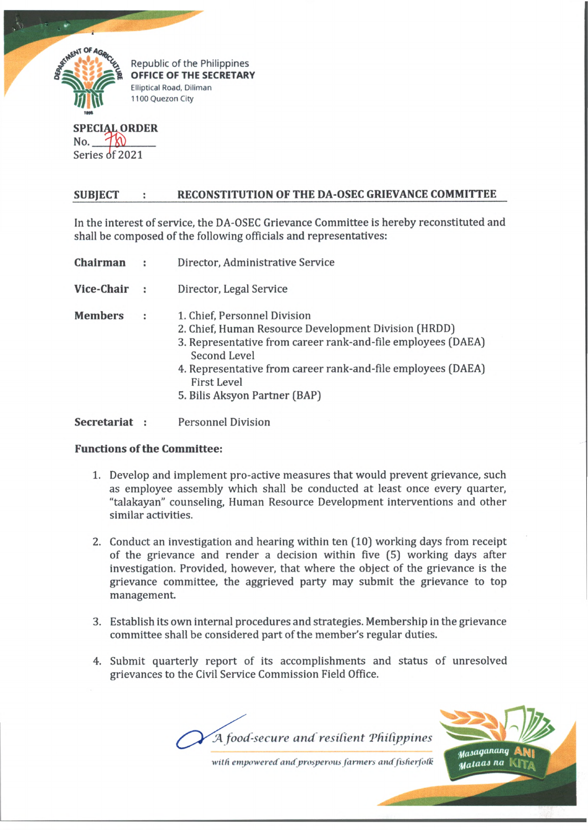

**SPECIAL ORDER** No.  $T_{\text{N}}$ Series of 2021

## **SUBJECT : RECONSTITUTION OF THE DA-OSEC GRIEVANCE COMMITTEE**

In the interest of service, the DA-OSEC Grievance Committee is hereby reconstituted and shall be composed of the following officials and representatives:

| Chairman       |      | Director, Administrative Service                                                                                                                                                                                                                                                            |
|----------------|------|---------------------------------------------------------------------------------------------------------------------------------------------------------------------------------------------------------------------------------------------------------------------------------------------|
| Vice-Chair     | - 11 | Director, Legal Service                                                                                                                                                                                                                                                                     |
| <b>Members</b> | и    | 1. Chief, Personnel Division<br>2. Chief, Human Resource Development Division (HRDD)<br>3. Representative from career rank-and-file employees (DAEA)<br>Second Level<br>4. Representative from career rank-and-file employees (DAEA)<br><b>First Level</b><br>5. Bilis Aksyon Partner (BAP) |
|                |      |                                                                                                                                                                                                                                                                                             |

**Secretariat :** Personnel Division

## **Functions of the Committee:**

- 1. Develop and implement pro-active measures that would prevent grievance, such as employee assembly which shall be conducted at least once every quarter, "talakayan" counseling, Human Resource Development interventions and other similar activities.
- 2. Conduct an investigation and hearing within ten (10) working days from receipt of the grievance and render a decision within five (5) working days after investigation. Provided, however, that where the object of the grievance is the grievance committee, the aggrieved party may submit the grievance to top management.
- 3. Establish its own internal procedures and strategies. Membership in the grievance committee shall be considered part of the member's regular duties.
- 4. Submit quarterly report of its accomplishments and status of unresolved grievances to the Civil Service Commission Field Office.





with *empowered and prosperous farmers and fisherfolk*